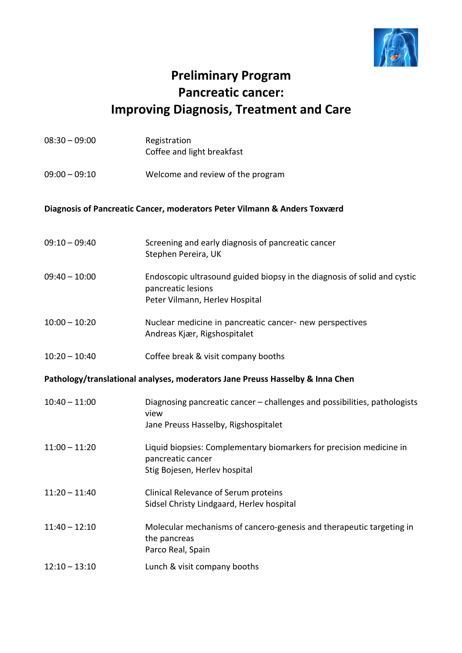

## **Preliminary Program Pancreatic cancer: Improving Diagnosis, Treatment and Care**

| $08:30 - 09:00$                                                               | Registration<br>Coffee and light breakfast                                                                                       |  |
|-------------------------------------------------------------------------------|----------------------------------------------------------------------------------------------------------------------------------|--|
| $09:00 - 09:10$                                                               | Welcome and review of the program                                                                                                |  |
| Diagnosis of Pancreatic Cancer, moderators Peter Vilmann & Anders Toxværd     |                                                                                                                                  |  |
| $09:10 - 09:40$                                                               | Screening and early diagnosis of pancreatic cancer<br>Stephen Pereira, UK                                                        |  |
| $09:40 - 10:00$                                                               | Endoscopic ultrasound guided biopsy in the diagnosis of solid and cystic<br>pancreatic lesions<br>Peter Vilmann, Herlev Hospital |  |
| $10:00 - 10:20$                                                               | Nuclear medicine in pancreatic cancer- new perspectives<br>Andreas Kjær, Rigshospitalet                                          |  |
| $10:20 - 10:40$                                                               | Coffee break & visit company booths                                                                                              |  |
| Pathology/translational analyses, moderators Jane Preuss Hasselby & Inna Chen |                                                                                                                                  |  |
| $10:40 - 11:00$                                                               | Diagnosing pancreatic cancer - challenges and possibilities, pathologists<br>view<br>Jane Preuss Hasselby, Rigshospitalet        |  |
| $11:00 - 11:20$                                                               | Liquid biopsies: Complementary biomarkers for precision medicine in<br>pancreatic cancer<br>Stig Bojesen, Herlev hospital        |  |
| $11:20 - 11:40$                                                               | Clinical Relevance of Serum proteins<br>Sidsel Christy Lindgaard, Herlev hospital                                                |  |
| $11:40 - 12:10$                                                               | Molecular mechanisms of cancero-genesis and therapeutic targeting in<br>the pancreas<br>Parco Real, Spain                        |  |
| $12:10 - 13:10$                                                               | Lunch & visit company booths                                                                                                     |  |